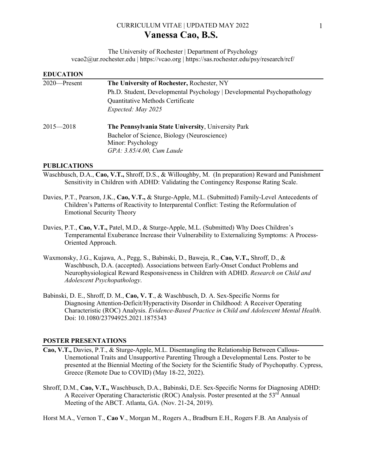# CURRICULUM VITAE | UPDATED MAY 2022 **Vanessa Cao, B.S.**

The University of Rochester | Department of Psychology vcao2@ur.rochester.edu | https://vcao.org | https://sas.rochester.edu/psy/research/rcf/

| <b>EDUCATION</b> |                                                                         |
|------------------|-------------------------------------------------------------------------|
| $2020$ —Present  | The University of Rochester, Rochester, NY                              |
|                  | Ph.D. Student, Developmental Psychology   Developmental Psychopathology |
|                  | Quantitative Methods Certificate                                        |
|                  | Expected: May 2025                                                      |
| $2015 - 2018$    | The Pennsylvania State University, University Park                      |
|                  | Bachelor of Science, Biology (Neuroscience)                             |
|                  | Minor: Psychology                                                       |
|                  | GPA: 3.85/4.00, Cum Laude                                               |

#### **PUBLICATIONS**

- Waschbusch, D.A., **Cao, V.T.,** Shroff, D.S., & Willoughby, M. (In preparation) Reward and Punishment Sensitivity in Children with ADHD: Validating the Contingency Response Rating Scale.
- Davies, P.T., Pearson, J.K., **Cao, V.T.,** & Sturge-Apple, M.L. (Submitted) Family-Level Antecedents of Children's Patterns of Reactivity to Interparental Conflict: Testing the Reformulation of Emotional Security Theory
- Davies, P.T., **Cao, V.T.,** Patel, M.D., & Sturge-Apple, M.L. (Submitted) Why Does Children's Temperamental Exuberance Increase their Vulnerability to Externalizing Symptoms: A Process-Oriented Approach.
- Waxmonsky, J.G., Kujawa, A., Pegg, S., Babinski, D., Baweja, R., **Cao, V.T.,** Shroff, D., & Waschbusch, D.A. (accepted). Associations between Early-Onset Conduct Problems and Neurophysiological Reward Responsiveness in Children with ADHD. *Research on Child and Adolescent Psychopathology*.
- Babinski, D. E., Shroff, D. M., **Cao, V. T**., & Waschbusch, D. A. Sex-Specific Norms for Diagnosing Attention-Deficit/Hyperactivity Disorder in Childhood: A Receiver Operating Characteristic (ROC) Analysis. *Evidence-Based Practice in Child and Adolescent Mental Health*. Doi: 10.1080/23794925.2021.1875343

#### **POSTER PRESENTATIONS**

- **Cao, V.T.,** Davies, P.T., & Sturge-Apple, M.L. Disentangling the Relationship Between Callous-Unemotional Traits and Unsupportive Parenting Through a Developmental Lens. Poster to be presented at the Biennial Meeting of the Society for the Scientific Study of Psychopathy. Cypress, Greece (Remote Due to COVID) (May 18-22, 2022).
- Shroff, D.M., **Cao, V.T.,** Waschbusch, D.A., Babinski, D.E. Sex-Specific Norms for Diagnosing ADHD: A Receiver Operating Characteristic (ROC) Analysis. Poster presented at the  $53<sup>rd</sup>$  Annual Meeting of the ABCT. Atlanta, GA. (Nov. 21-24, 2019).

Horst M.A., Vernon T., **Cao V**., Morgan M., Rogers A., Bradburn E.H., Rogers F.B. An Analysis of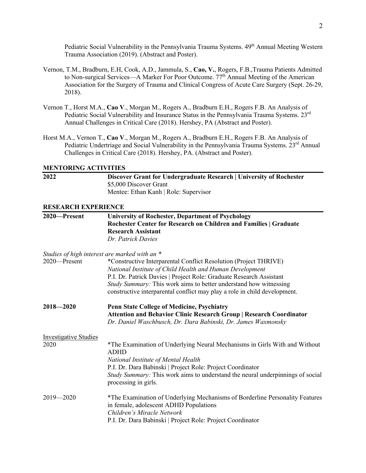Pediatric Social Vulnerability in the Pennsylvania Trauma Systems. 49<sup>th</sup> Annual Meeting Western Trauma Association (2019). (Abstract and Poster).

- Vernon, T.M., Bradburn, E.H, Cook, A.D., Jammula, S., **Cao, V.**, Rogers, F.B.,Trauma Patients Admitted to Non-surgical Services—A Marker For Poor Outcome.  $77<sup>th</sup>$  Annual Meeting of the American Association for the Surgery of Trauma and Clinical Congress of Acute Care Surgery (Sept. 26-29, 2018).
- Vernon T., Horst M.A., **Cao V**., Morgan M., Rogers A., Bradburn E.H., Rogers F.B. An Analysis of Pediatric Social Vulnerability and Insurance Status in the Pennsylvania Trauma Systems. 23<sup>rd</sup> Annual Challenges in Critical Care (2018). Hershey, PA (Abstract and Poster).
- Horst M.A., Vernon T., **Cao V**., Morgan M., Rogers A., Bradburn E.H., Rogers F.B. An Analysis of Pediatric Undertriage and Social Vulnerability in the Pennsylvania Trauma Systems. 23<sup>rd</sup> Annual Challenges in Critical Care (2018). Hershey, PA. (Abstract and Poster).

#### **MENTORING ACTIVITIES**

| 2022                         | Discover Grant for Undergraduate Research   University of Rochester                       |
|------------------------------|-------------------------------------------------------------------------------------------|
|                              | \$5,000 Discover Grant                                                                    |
|                              | Mentee: Ethan Kanh   Role: Supervisor                                                     |
| <b>RESEARCH EXPERIENCE</b>   |                                                                                           |
| 2020-Present                 | <b>University of Rochester, Department of Psychology</b>                                  |
|                              | Rochester Center for Research on Children and Families   Graduate                         |
|                              | <b>Research Assistant</b><br>Dr. Patrick Davies                                           |
|                              |                                                                                           |
|                              | Studies of high interest are marked with an *                                             |
| 2020-Present                 | *Constructive Interparental Conflict Resolution (Project THRIVE)                          |
|                              | National Institute of Child Health and Human Development                                  |
|                              | P.I. Dr. Patrick Davies   Project Role: Graduate Research Assistant                       |
|                              | Study Summary: This work aims to better understand how witnessing                         |
|                              | constructive interparental conflict may play a role in child development.                 |
| $2018 - 2020$                | <b>Penn State College of Medicine, Psychiatry</b>                                         |
|                              | <b>Attention and Behavior Clinic Research Group   Research Coordinator</b>                |
|                              | Dr. Daniel Waschbusch, Dr. Dara Babinski, Dr. James Waxmonsky                             |
| <b>Investigative Studies</b> |                                                                                           |
| 2020                         | *The Examination of Underlying Neural Mechanisms in Girls With and Without<br><b>ADHD</b> |
|                              | National Institute of Mental Health                                                       |
|                              | P.I. Dr. Dara Babinski   Project Role: Project Coordinator                                |
|                              | Study Summary: This work aims to understand the neural underpinnings of social            |
|                              | processing in girls.                                                                      |
| $2019 - 2020$                | *The Examination of Underlying Mechanisms of Borderline Personality Features              |
|                              | in female, adolescent ADHD Populations                                                    |
|                              | Children's Miracle Network                                                                |
|                              | P.I. Dr. Dara Babinski   Project Role: Project Coordinator                                |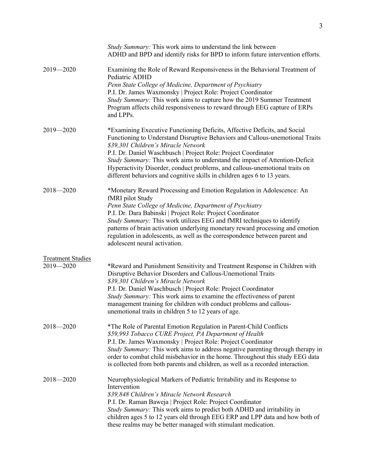|                                           | Study Summary: This work aims to understand the link between<br>ADHD and BPD and identify risks for BPD to inform future intervention efforts.                                                                                                                                                                                                                                                                                                                                                                |
|-------------------------------------------|---------------------------------------------------------------------------------------------------------------------------------------------------------------------------------------------------------------------------------------------------------------------------------------------------------------------------------------------------------------------------------------------------------------------------------------------------------------------------------------------------------------|
| $2019 - 2020$                             | Examining the Role of Reward Responsiveness in the Behavioral Treatment of<br>Pediatric ADHD<br>Penn State College of Medicine, Department of Psychiatry<br>P.I. Dr. James Waxmonsky   Project Role: Project Coordinator<br>Study Summary: This work aims to capture how the 2019 Summer Treatment<br>Program affects child responsiveness to reward through EEG capture of ERPs<br>and LPPs.                                                                                                                 |
| $2019 - 2020$                             | *Examining Executive Functioning Deficits, Affective Deficits, and Social<br>Functioning to Understand Disruptive Behaviors and Callous-unemotional Traits<br>\$39,301 Children's Miracle Network<br>P.I. Dr. Daniel Waschbusch   Project Role: Project Coordinator<br>Study Summary: This work aims to understand the impact of Attention-Deficit<br>Hyperactivity Disorder, conduct problems, and callous-unemotional traits on<br>different behaviors and cognitive skills in children ages 6 to 13 years. |
| $2018 - 2020$                             | *Monetary Reward Processing and Emotion Regulation in Adolescence: An<br>fMRI pilot Study<br>Penn State College of Medicine, Department of Psychiatry<br>P.I. Dr. Dara Babinski   Project Role: Project Coordinator<br>Study Summary: This work utilizes EEG and fMRI techniques to identify<br>patterns of brain activation underlying monetary reward processing and emotion<br>regulation in adolescents, as well as the correspondence between parent and<br>adolescent neural activation.                |
| <b>Treatment Studies</b><br>$2019 - 2020$ | *Reward and Punishment Sensitivity and Treatment Response in Children with<br>Disruptive Behavior Disorders and Callous-Unemotional Traits<br>\$39,301 Children's Miracle Network<br>P.I. Dr. Daniel Waschbusch   Project Role: Project Coordinator<br>Study Summary: This work aims to examine the effectiveness of parent<br>management training for children with conduct problems and callous-<br>unemotional traits in children 5 to 12 years of age.                                                    |
| $2018 - 2020$                             | *The Role of Parental Emotion Regulation in Parent-Child Conflicts<br>\$59,993 Tobacco CURE Project, PA Department of Health<br>P.I. Dr. James Waxmonsky   Project Role: Project Coordinator<br>Study Summary: This work aims to address negative parenting through therapy in<br>order to combat child misbehavior in the home. Throughout this study EEG data<br>is collected from both parents and children, as well as a recorded interaction.                                                            |
| $2018 - 2020$                             | Neurophysiological Markers of Pediatric Irritability and its Response to<br>Intervention<br>\$39,848 Children's Miracle Network Research<br>P.I. Dr. Raman Baweja   Project Role: Project Coordinator<br>Study Summary: This work aims to predict both ADHD and irritability in<br>children ages 5 to 12 years old through EEG ERP and LPP data and how both of<br>these realms may be better managed with stimulant medication.                                                                              |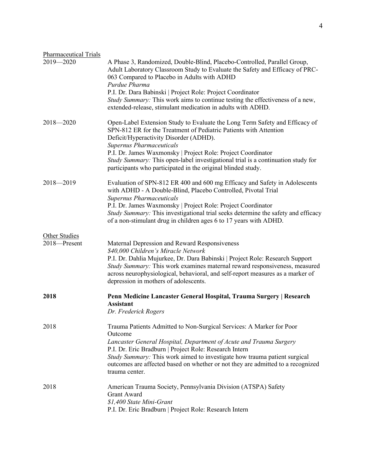| <b>Pharmaceutical Trials</b>  |                                                                                                                                                                                                                                                                                                                                                                                                   |
|-------------------------------|---------------------------------------------------------------------------------------------------------------------------------------------------------------------------------------------------------------------------------------------------------------------------------------------------------------------------------------------------------------------------------------------------|
| $2019 - 2020$                 | A Phase 3, Randomized, Double-Blind, Placebo-Controlled, Parallel Group,<br>Adult Laboratory Classroom Study to Evaluate the Safety and Efficacy of PRC-<br>063 Compared to Placebo in Adults with ADHD<br>Purdue Pharma                                                                                                                                                                          |
|                               | P.I. Dr. Dara Babinski   Project Role: Project Coordinator<br>Study Summary: This work aims to continue testing the effectiveness of a new,<br>extended-release, stimulant medication in adults with ADHD.                                                                                                                                                                                        |
| $2018 - 2020$                 | Open-Label Extension Study to Evaluate the Long Term Safety and Efficacy of<br>SPN-812 ER for the Treatment of Pediatric Patients with Attention<br>Deficit/Hyperactivity Disorder (ADHD).<br><b>Supernus Pharmaceuticals</b>                                                                                                                                                                     |
|                               | P.I. Dr. James Waxmonsky   Project Role: Project Coordinator<br>Study Summary: This open-label investigational trial is a continuation study for<br>participants who participated in the original blinded study.                                                                                                                                                                                  |
| $2018 - 2019$                 | Evaluation of SPN-812 ER 400 and 600 mg Efficacy and Safety in Adolescents<br>with ADHD - A Double-Blind, Placebo Controlled, Pivotal Trial<br><b>Supernus Pharmaceuticals</b>                                                                                                                                                                                                                    |
|                               | P.I. Dr. James Waxmonsky   Project Role: Project Coordinator<br>Study Summary: This investigational trial seeks determine the safety and efficacy<br>of a non-stimulant drug in children ages 6 to 17 years with ADHD.                                                                                                                                                                            |
| Other Studies<br>2018-Present | Maternal Depression and Reward Responsiveness<br>\$40,000 Children's Miracle Network<br>P.I. Dr. Dahlia Mujurkee, Dr. Dara Babinski   Project Role: Research Support<br>Study Summary: This work examines maternal reward responsiveness, measured<br>across neurophysiological, behavioral, and self-report measures as a marker of<br>depression in mothers of adolescents.                     |
| 2018                          | Penn Medicine Lancaster General Hospital, Trauma Surgery   Research<br><b>Assistant</b><br>Dr. Frederick Rogers                                                                                                                                                                                                                                                                                   |
| 2018                          | Trauma Patients Admitted to Non-Surgical Services: A Marker for Poor<br>Outcome<br>Lancaster General Hospital, Department of Acute and Trauma Surgery<br>P.I. Dr. Eric Bradburn   Project Role: Research Intern<br>Study Summary: This work aimed to investigate how trauma patient surgical<br>outcomes are affected based on whether or not they are admitted to a recognized<br>trauma center. |
| 2018                          | American Trauma Society, Pennsylvania Division (ATSPA) Safety<br><b>Grant Award</b><br>\$1,400 State Mini-Grant<br>P.I. Dr. Eric Bradburn   Project Role: Research Intern                                                                                                                                                                                                                         |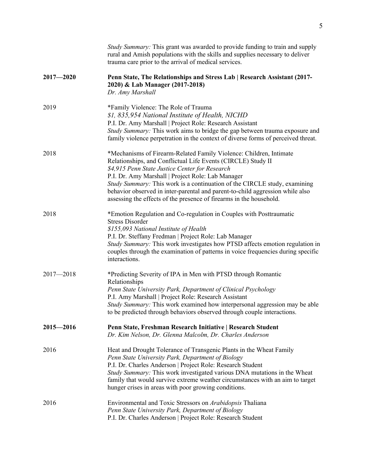|               | Study Summary: This grant was awarded to provide funding to train and supply<br>rural and Amish populations with the skills and supplies necessary to deliver<br>trauma care prior to the arrival of medical services.                                                                                                                                                                                                                                                         |
|---------------|--------------------------------------------------------------------------------------------------------------------------------------------------------------------------------------------------------------------------------------------------------------------------------------------------------------------------------------------------------------------------------------------------------------------------------------------------------------------------------|
| $2017 - 2020$ | Penn State, The Relationships and Stress Lab   Research Assistant (2017-<br>2020) & Lab Manager (2017-2018)<br>Dr. Amy Marshall                                                                                                                                                                                                                                                                                                                                                |
| 2019          | *Family Violence: The Role of Trauma<br>\$1, 835,954 National Institute of Health, NICHD<br>P.I. Dr. Amy Marshall   Project Role: Research Assistant<br>Study Summary: This work aims to bridge the gap between trauma exposure and<br>family violence perpetration in the context of diverse forms of perceived threat.                                                                                                                                                       |
| 2018          | *Mechanisms of Firearm-Related Family Violence: Children, Intimate<br>Relationships, and Conflictual Life Events (CIRCLE) Study II<br>\$4,915 Penn State Justice Center for Research<br>P.I. Dr. Amy Marshall   Project Role: Lab Manager<br>Study Summary: This work is a continuation of the CIRCLE study, examining<br>behavior observed in inter-parental and parent-to-child aggression while also<br>assessing the effects of the presence of firearms in the household. |
| 2018          | *Emotion Regulation and Co-regulation in Couples with Posttraumatic<br><b>Stress Disorder</b><br>\$155,093 National Institute of Health<br>P.I. Dr. Steffany Fredman   Project Role: Lab Manager<br>Study Summary: This work investigates how PTSD affects emotion regulation in<br>couples through the examination of patterns in voice frequencies during specific<br>interactions.                                                                                          |
| $2017 - 2018$ | *Predicting Severity of IPA in Men with PTSD through Romantic<br>Relationships<br>Penn State University Park, Department of Clinical Psychology<br>P.I. Amy Marshall   Project Role: Research Assistant<br>Study Summary: This work examined how interpersonal aggression may be able<br>to be predicted through behaviors observed through couple interactions.                                                                                                               |
| $2015 - 2016$ | Penn State, Freshman Research Initiative   Research Student<br>Dr. Kim Nelson, Dr. Glenna Malcolm, Dr. Charles Anderson                                                                                                                                                                                                                                                                                                                                                        |
| 2016          | Heat and Drought Tolerance of Transgenic Plants in the Wheat Family<br>Penn State University Park, Department of Biology<br>P.I. Dr. Charles Anderson   Project Role: Research Student<br>Study Summary: This work investigated various DNA mutations in the Wheat<br>family that would survive extreme weather circumstances with an aim to target<br>hunger crises in areas with poor growing conditions.                                                                    |
| 2016          | Environmental and Toxic Stressors on Arabidopsis Thaliana<br>Penn State University Park, Department of Biology<br>P.I. Dr. Charles Anderson   Project Role: Research Student                                                                                                                                                                                                                                                                                                   |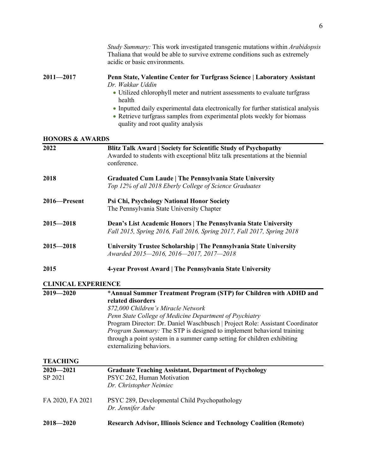|                            | Study Summary: This work investigated transgenic mutations within Arabidopsis<br>Thaliana that would be able to survive extreme conditions such as extremely<br>acidic or basic environments.      |  |
|----------------------------|----------------------------------------------------------------------------------------------------------------------------------------------------------------------------------------------------|--|
| $2011 - 2017$              | Penn State, Valentine Center for Turfgrass Science   Laboratory Assistant<br>Dr. Wakkar Uddin                                                                                                      |  |
|                            | • Utilized chlorophyll meter and nutrient assessments to evaluate turfgrass<br>health                                                                                                              |  |
|                            | • Inputted daily experimental data electronically for further statistical analysis<br>• Retrieve turfgrass samples from experimental plots weekly for biomass<br>quality and root quality analysis |  |
| <b>HONORS &amp; AWARDS</b> |                                                                                                                                                                                                    |  |
| 2022                       | <b>Blitz Talk Award   Society for Scientific Study of Psychopathy</b><br>Awarded to students with exceptional blitz talk presentations at the biennial<br>conference.                              |  |
| 2018                       | <b>Graduated Cum Laude   The Pennsylvania State University</b><br>Top 12% of all 2018 Eberly College of Science Graduates                                                                          |  |
| 2016-Present               | Psi Chi, Psychology National Honor Society<br>The Pennsylvania State University Chapter                                                                                                            |  |
| $2015 - 2018$              | Dean's List Academic Honors   The Pennsylvania State University<br>Fall 2015, Spring 2016, Fall 2016, Spring 2017, Fall 2017, Spring 2018                                                          |  |
| $2015 - 2018$              | University Trustee Scholarship   The Pennsylvania State University<br>Awarded 2015-2016, 2016-2017, 2017-2018                                                                                      |  |
| 2015                       | 4-year Provost Award   The Pennsylvania State University                                                                                                                                           |  |
| <b>CLINICAL EXPERIENCE</b> |                                                                                                                                                                                                    |  |
| $2019 - 2020$              | *Annual Summer Treatment Program (STP) for Children with ADHD and<br>related disorders                                                                                                             |  |
|                            | \$72,000 Children's Miracle Network                                                                                                                                                                |  |
|                            | Penn State College of Medicine Department of Psychiatry                                                                                                                                            |  |
|                            | Program Director: Dr. Daniel Waschbusch   Project Role: Assistant Coordinator                                                                                                                      |  |
|                            | <i>Program Summary:</i> The STP is designed to implement behavioral training<br>through a point system in a summer camp setting for children exhibiting<br>externalizing behaviors.                |  |
| <b>TEACHING</b>            |                                                                                                                                                                                                    |  |
| $2020 - 2021$              | <b>Graduate Teaching Assistant, Department of Psychology</b>                                                                                                                                       |  |
| SP 2021                    | PSYC 262, Human Motivation<br>Dr. Christopher Neimiec                                                                                                                                              |  |
|                            |                                                                                                                                                                                                    |  |
| FA 2020, FA 2021           | PSYC 289, Developmental Child Psychopathology                                                                                                                                                      |  |
|                            | Dr. Jennifer Aube                                                                                                                                                                                  |  |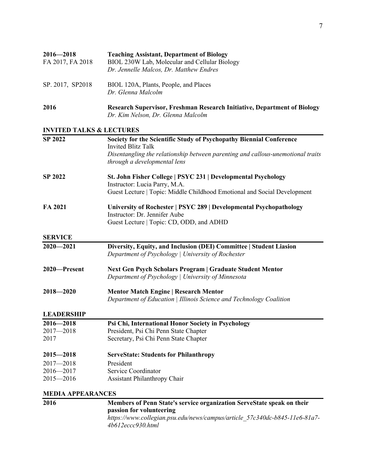| $2016 - 2018$    | <b>Teaching Assistant, Department of Biology</b>                                         |
|------------------|------------------------------------------------------------------------------------------|
| FA 2017, FA 2018 | BIOL 230W Lab, Molecular and Cellular Biology<br>Dr. Jennelle Malcos, Dr. Matthew Endres |
| SP. 2017, SP2018 | BIOL 120A, Plants, People, and Places<br>Dr. Glenna Malcolm                              |
|                  |                                                                                          |

**2016 Research Supervisor, Freshman Research Initiative, Department of Biology** *Dr. Kim Nelson, Dr. Glenna Malcolm*

### **INVITED TALKS & LECTURES**

| <b>SP 2022</b>           | Society for the Scientific Study of Psychopathy Biennial Conference             |
|--------------------------|---------------------------------------------------------------------------------|
|                          | <b>Invited Blitz Talk</b>                                                       |
|                          | Disentangling the relationship between parenting and callous-unemotional traits |
|                          | through a developmental lens                                                    |
| <b>SP 2022</b>           | St. John Fisher College   PSYC 231   Developmental Psychology                   |
|                          | Instructor: Lucia Parry, M.A.                                                   |
|                          | Guest Lecture   Topic: Middle Childhood Emotional and Social Development        |
| FA 2021                  | University of Rochester   PSYC 289   Developmental Psychopathology              |
|                          | Instructor: Dr. Jennifer Aube                                                   |
|                          | Guest Lecture   Topic: CD, ODD, and ADHD                                        |
| <b>SERVICE</b>           |                                                                                 |
| $2020 - 2021$            | Diversity, Equity, and Inclusion (DEI) Committee   Student Liasion              |
|                          | Department of Psychology   University of Rochester                              |
| 2020-Present             | Next Gen Psych Scholars Program   Graduate Student Mentor                       |
|                          | Department of Psychology   University of Minnesota                              |
| $2018 - 2020$            | <b>Mentor Match Engine   Research Mentor</b>                                    |
|                          | Department of Education   Illinois Science and Technology Coalition             |
| <b>LEADERSHIP</b>        |                                                                                 |
| $2016 - 2018$            | Psi Chi, International Honor Society in Psychology                              |
| $2017 - 2018$            | President, Psi Chi Penn State Chapter                                           |
| 2017                     | Secretary, Psi Chi Penn State Chapter                                           |
| $2015 - 2018$            | <b>ServeState: Students for Philanthropy</b>                                    |
| $2017 - 2018$            | President                                                                       |
| $2016 - 2017$            | Service Coordinator                                                             |
| $2015 - 2016$            | <b>Assistant Philanthropy Chair</b>                                             |
| <b>MEDIA APPEARANCES</b> |                                                                                 |

| 2016 | Members of Penn State's service organization ServeState speak on their                         |
|------|------------------------------------------------------------------------------------------------|
|      | passion for volunteering                                                                       |
|      | https://www.collegian.psu.edu/news/campus/article 57c340dc-b845-11e6-81a7-<br>4b612ecc930.html |